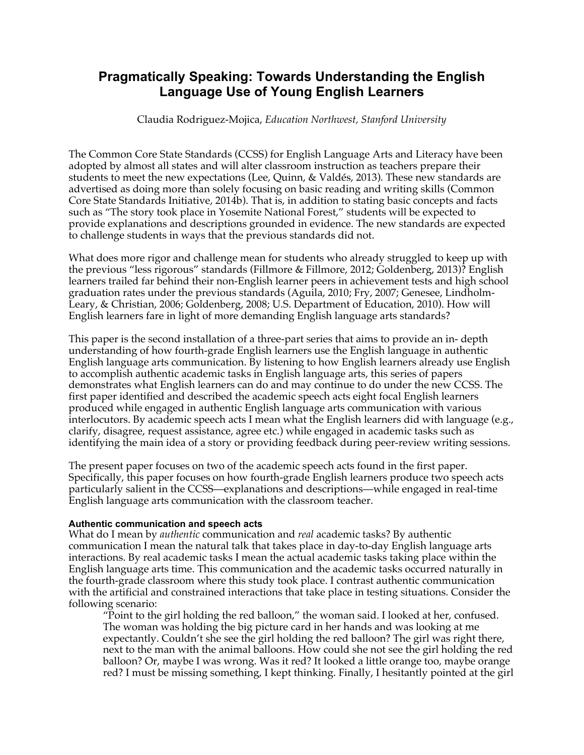# **Pragmatically Speaking: Towards Understanding the English Language Use of Young English Learners**

Claudia Rodriguez-Mojica, *Education Northwest, Stanford University*

The Common Core State Standards (CCSS) for English Language Arts and Literacy have been adopted by almost all states and will alter classroom instruction as teachers prepare their students to meet the new expectations (Lee, Quinn, & Valdés, 2013). These new standards are advertised as doing more than solely focusing on basic reading and writing skills (Common Core State Standards Initiative, 2014b). That is, in addition to stating basic concepts and facts such as "The story took place in Yosemite National Forest," students will be expected to provide explanations and descriptions grounded in evidence. The new standards are expected to challenge students in ways that the previous standards did not.

What does more rigor and challenge mean for students who already struggled to keep up with the previous "less rigorous" standards (Fillmore & Fillmore, 2012; Goldenberg, 2013)? English learners trailed far behind their non-English learner peers in achievement tests and high school graduation rates under the previous standards (Aguila, 2010; Fry, 2007; Genesee, Lindholm-Leary, & Christian, 2006; Goldenberg, 2008; U.S. Department of Education, 2010). How will English learners fare in light of more demanding English language arts standards?

This paper is the second installation of a three-part series that aims to provide an in- depth understanding of how fourth-grade English learners use the English language in authentic English language arts communication. By listening to how English learners already use English to accomplish authentic academic tasks in English language arts, this series of papers demonstrates what English learners can do and may continue to do under the new CCSS. The first paper identified and described the academic speech acts eight focal English learners produced while engaged in authentic English language arts communication with various interlocutors. By academic speech acts I mean what the English learners did with language (e.g., clarify, disagree, request assistance, agree etc.) while engaged in academic tasks such as identifying the main idea of a story or providing feedback during peer-review writing sessions.

The present paper focuses on two of the academic speech acts found in the first paper. Specifically, this paper focuses on how fourth-grade English learners produce two speech acts particularly salient in the CCSS—explanations and descriptions—while engaged in real-time English language arts communication with the classroom teacher.

#### **Authentic communication and speech acts**

What do I mean by *authentic* communication and *real* academic tasks? By authentic communication I mean the natural talk that takes place in day-to-day English language arts interactions. By real academic tasks I mean the actual academic tasks taking place within the English language arts time. This communication and the academic tasks occurred naturally in the fourth-grade classroom where this study took place. I contrast authentic communication with the artificial and constrained interactions that take place in testing situations. Consider the following scenario:

"Point to the girl holding the red balloon," the woman said. I looked at her, confused. The woman was holding the big picture card in her hands and was looking at me expectantly. Couldn't she see the girl holding the red balloon? The girl was right there, next to the man with the animal balloons. How could she not see the girl holding the red balloon? Or, maybe I was wrong. Was it red? It looked a little orange too, maybe orange red? I must be missing something, I kept thinking. Finally, I hesitantly pointed at the girl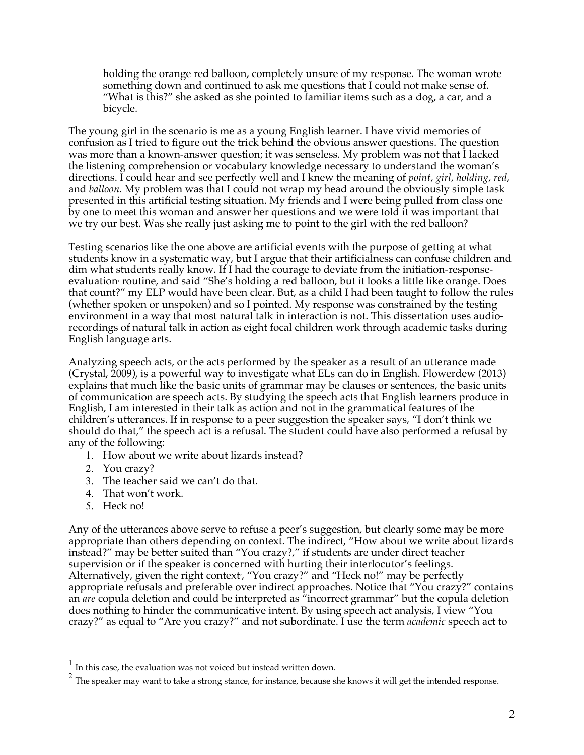holding the orange red balloon, completely unsure of my response. The woman wrote something down and continued to ask me questions that I could not make sense of. "What is this?" she asked as she pointed to familiar items such as a dog, a car, and a bicycle.

The young girl in the scenario is me as a young English learner. I have vivid memories of confusion as I tried to figure out the trick behind the obvious answer questions. The question was more than a known-answer question; it was senseless. My problem was not that I lacked the listening comprehension or vocabulary knowledge necessary to understand the woman's directions. I could hear and see perfectly well and I knew the meaning of *point*, *girl*, *holding*, *red*, and *balloon*. My problem was that I could not wrap my head around the obviously simple task presented in this artificial testing situation. My friends and I were being pulled from class one by one to meet this woman and answer her questions and we were told it was important that we try our best. Was she really just asking me to point to the girl with the red balloon?

Testing scenarios like the one above are artificial events with the purpose of getting at what students know in a systematic way, but I argue that their artificialness can confuse children and dim what students really know. If I had the courage to deviate from the initiation-responseevaluation<sup>,</sup> routine, and said "She's holding a red balloon, but it looks a little like orange. Does that count?" my ELP would have been clear. But, as a child I had been taught to follow the rules (whether spoken or unspoken) and so I pointed. My response was constrained by the testing environment in a way that most natural talk in interaction is not. This dissertation uses audiorecordings of natural talk in action as eight focal children work through academic tasks during English language arts.

Analyzing speech acts, or the acts performed by the speaker as a result of an utterance made (Crystal, 2009), is a powerful way to investigate what ELs can do in English. Flowerdew (2013) explains that much like the basic units of grammar may be clauses or sentences, the basic units of communication are speech acts. By studying the speech acts that English learners produce in English, I am interested in their talk as action and not in the grammatical features of the children's utterances. If in response to a peer suggestion the speaker says, "I don't think we should do that," the speech act is a refusal. The student could have also performed a refusal by any of the following:

- 1. How about we write about lizards instead?
- 2. You crazy?
- 3. The teacher said we can't do that.
- 4. That won't work.
- 5. Heck no!

Any of the utterances above serve to refuse a peer's suggestion, but clearly some may be more appropriate than others depending on context. The indirect, "How about we write about lizards instead?" may be better suited than "You crazy?," if students are under direct teacher supervision or if the speaker is concerned with hurting their interlocutor's feelings. Alternatively, given the right context<sup>,</sup> "You crazy?" and "Heck no!" may be perfectly appropriate refusals and preferable over indirect approaches. Notice that "You crazy?" contains an *are* copula deletion and could be interpreted as "incorrect grammar" but the copula deletion does nothing to hinder the communicative intent. By using speech act analysis, I view "You crazy?" as equal to "Are you crazy?" and not subordinate. I use the term *academic* speech act to

 <sup>1</sup> In this case, the evaluation was not voiced but instead written down.

 $2$  The speaker may want to take a strong stance, for instance, because she knows it will get the intended response.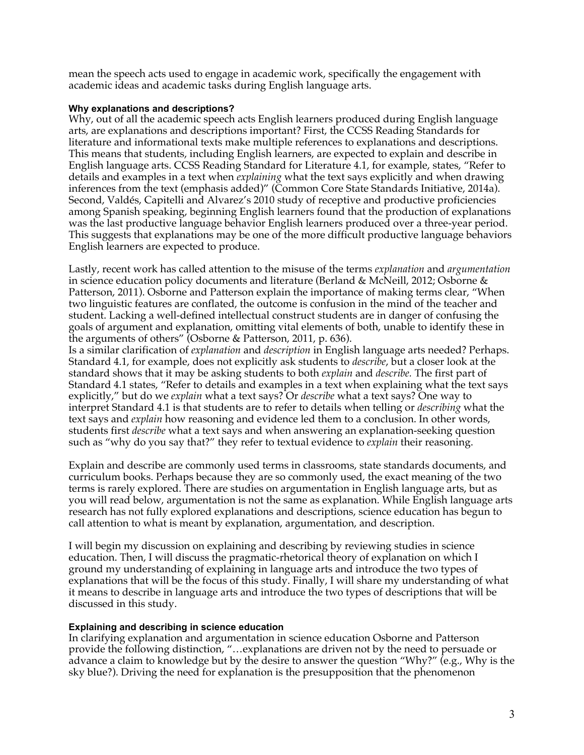mean the speech acts used to engage in academic work, specifically the engagement with academic ideas and academic tasks during English language arts.

### **Why explanations and descriptions?**

Why, out of all the academic speech acts English learners produced during English language arts, are explanations and descriptions important? First, the CCSS Reading Standards for literature and informational texts make multiple references to explanations and descriptions. This means that students, including English learners, are expected to explain and describe in English language arts. CCSS Reading Standard for Literature 4.1, for example, states, "Refer to details and examples in a text when *explaining* what the text says explicitly and when drawing inferences from the text (emphasis added)" (Common Core State Standards Initiative, 2014a). Second, Valdés, Capitelli and Alvarez's 2010 study of receptive and productive proficiencies among Spanish speaking, beginning English learners found that the production of explanations was the last productive language behavior English learners produced over a three-year period. This suggests that explanations may be one of the more difficult productive language behaviors English learners are expected to produce.

Lastly, recent work has called attention to the misuse of the terms *explanation* and *argumentation* in science education policy documents and literature (Berland & McNeill, 2012; Osborne & Patterson, 2011). Osborne and Patterson explain the importance of making terms clear, "When two linguistic features are conflated, the outcome is confusion in the mind of the teacher and student. Lacking a well-defined intellectual construct students are in danger of confusing the goals of argument and explanation, omitting vital elements of both, unable to identify these in the arguments of others" (Osborne & Patterson, 2011, p. 636).

Is a similar clarification of *explanation* and *description* in English language arts needed? Perhaps. Standard 4.1, for example, does not explicitly ask students to *describe*, but a closer look at the standard shows that it may be asking students to both *explain* and *describe.* The first part of Standard 4.1 states, "Refer to details and examples in a text when explaining what the text says explicitly," but do we *explain* what a text says? Or *describe* what a text says? One way to interpret Standard 4.1 is that students are to refer to details when telling or *describing* what the text says and *explain* how reasoning and evidence led them to a conclusion. In other words, students first *describe* what a text says and when answering an explanation-seeking question such as "why do you say that?" they refer to textual evidence to *explain* their reasoning.

Explain and describe are commonly used terms in classrooms, state standards documents, and curriculum books. Perhaps because they are so commonly used, the exact meaning of the two terms is rarely explored. There are studies on argumentation in English language arts, but as you will read below, argumentation is not the same as explanation. While English language arts research has not fully explored explanations and descriptions, science education has begun to call attention to what is meant by explanation, argumentation, and description.

I will begin my discussion on explaining and describing by reviewing studies in science education. Then, I will discuss the pragmatic-rhetorical theory of explanation on which I ground my understanding of explaining in language arts and introduce the two types of explanations that will be the focus of this study. Finally, I will share my understanding of what it means to describe in language arts and introduce the two types of descriptions that will be discussed in this study.

## **Explaining and describing in science education**

In clarifying explanation and argumentation in science education Osborne and Patterson provide the following distinction, "…explanations are driven not by the need to persuade or advance a claim to knowledge but by the desire to answer the question "Why?" (e.g., Why is the sky blue?). Driving the need for explanation is the presupposition that the phenomenon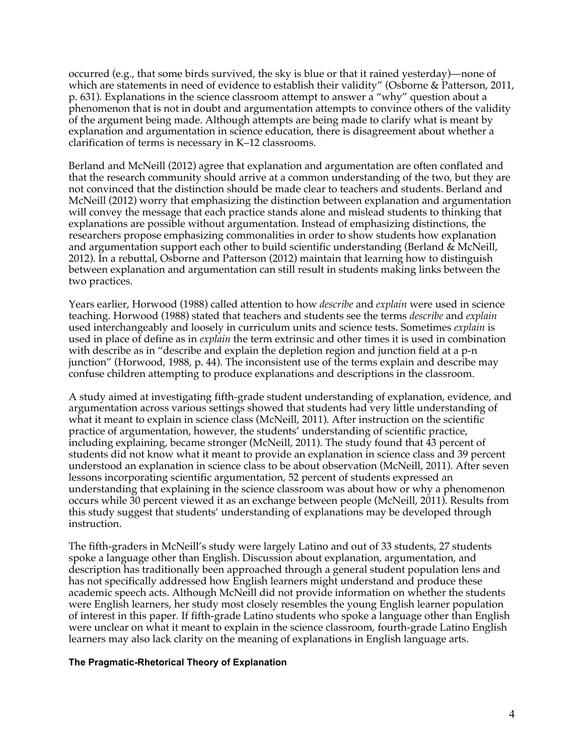occurred (e.g., that some birds survived, the sky is blue or that it rained yesterday)—none of which are statements in need of evidence to establish their validity" (Osborne & Patterson, 2011, p. 631). Explanations in the science classroom attempt to answer a "why" question about a phenomenon that is not in doubt and argumentation attempts to convince others of the validity of the argument being made. Although attempts are being made to clarify what is meant by explanation and argumentation in science education, there is disagreement about whether a clarification of terms is necessary in K–12 classrooms.

Berland and McNeill (2012) agree that explanation and argumentation are often conflated and that the research community should arrive at a common understanding of the two, but they are not convinced that the distinction should be made clear to teachers and students. Berland and McNeill (2012) worry that emphasizing the distinction between explanation and argumentation will convey the message that each practice stands alone and mislead students to thinking that explanations are possible without argumentation. Instead of emphasizing distinctions, the researchers propose emphasizing commonalities in order to show students how explanation and argumentation support each other to build scientific understanding (Berland & McNeill, 2012). In a rebuttal, Osborne and Patterson (2012) maintain that learning how to distinguish between explanation and argumentation can still result in students making links between the two practices.

Years earlier, Horwood (1988) called attention to how *describe* and *explain* were used in science teaching. Horwood (1988) stated that teachers and students see the terms *describe* and *explain*  used interchangeably and loosely in curriculum units and science tests. Sometimes *explain* is used in place of define as in *explain* the term extrinsic and other times it is used in combination with describe as in "describe and explain the depletion region and junction field at a p-n junction" (Horwood, 1988, p. 44). The inconsistent use of the terms explain and describe may confuse children attempting to produce explanations and descriptions in the classroom.

A study aimed at investigating fifth-grade student understanding of explanation, evidence, and argumentation across various settings showed that students had very little understanding of what it meant to explain in science class (McNeill, 2011). After instruction on the scientific practice of argumentation, however, the students' understanding of scientific practice, including explaining, became stronger (McNeill, 2011). The study found that 43 percent of students did not know what it meant to provide an explanation in science class and 39 percent understood an explanation in science class to be about observation (McNeill, 2011). After seven lessons incorporating scientific argumentation, 52 percent of students expressed an understanding that explaining in the science classroom was about how or why a phenomenon occurs while 30 percent viewed it as an exchange between people (McNeill, 2011). Results from this study suggest that students' understanding of explanations may be developed through instruction.

The fifth-graders in McNeill's study were largely Latino and out of 33 students, 27 students spoke a language other than English. Discussion about explanation, argumentation, and description has traditionally been approached through a general student population lens and has not specifically addressed how English learners might understand and produce these academic speech acts. Although McNeill did not provide information on whether the students were English learners, her study most closely resembles the young English learner population of interest in this paper. If fifth-grade Latino students who spoke a language other than English were unclear on what it meant to explain in the science classroom, fourth-grade Latino English learners may also lack clarity on the meaning of explanations in English language arts.

#### **The Pragmatic-Rhetorical Theory of Explanation**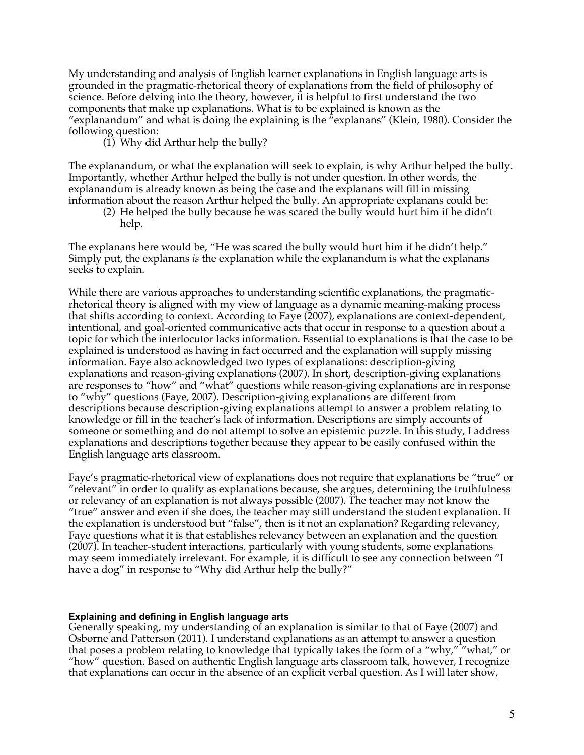My understanding and analysis of English learner explanations in English language arts is grounded in the pragmatic-rhetorical theory of explanations from the field of philosophy of science. Before delving into the theory, however, it is helpful to first understand the two components that make up explanations. What is to be explained is known as the "explanandum" and what is doing the explaining is the "explanans" (Klein, 1980). Consider the following question:

(1) Why did Arthur help the bully?

The explanandum, or what the explanation will seek to explain, is why Arthur helped the bully. Importantly, whether Arthur helped the bully is not under question. In other words, the explanandum is already known as being the case and the explanans will fill in missing information about the reason Arthur helped the bully. An appropriate explanans could be:

(2) He helped the bully because he was scared the bully would hurt him if he didn't help.

The explanans here would be, "He was scared the bully would hurt him if he didn't help." Simply put, the explanans *is* the explanation while the explanandum is what the explanans seeks to explain.

While there are various approaches to understanding scientific explanations, the pragmaticrhetorical theory is aligned with my view of language as a dynamic meaning-making process that shifts according to context. According to Faye (2007), explanations are context-dependent, intentional, and goal-oriented communicative acts that occur in response to a question about a topic for which the interlocutor lacks information. Essential to explanations is that the case to be explained is understood as having in fact occurred and the explanation will supply missing information. Faye also acknowledged two types of explanations: description-giving explanations and reason-giving explanations (2007). In short, description-giving explanations are responses to "how" and "what" questions while reason-giving explanations are in response to "why" questions (Faye, 2007). Description-giving explanations are different from descriptions because description-giving explanations attempt to answer a problem relating to knowledge or fill in the teacher's lack of information. Descriptions are simply accounts of someone or something and do not attempt to solve an epistemic puzzle. In this study, I address explanations and descriptions together because they appear to be easily confused within the English language arts classroom.

Faye's pragmatic-rhetorical view of explanations does not require that explanations be "true" or "relevant" in order to qualify as explanations because, she argues, determining the truthfulness or relevancy of an explanation is not always possible (2007). The teacher may not know the "true" answer and even if she does, the teacher may still understand the student explanation. If the explanation is understood but "false", then is it not an explanation? Regarding relevancy, Faye questions what it is that establishes relevancy between an explanation and the question (2007). In teacher-student interactions, particularly with young students, some explanations may seem immediately irrelevant. For example, it is difficult to see any connection between "I have a dog" in response to "Why did Arthur help the bully?"

#### **Explaining and defining in English language arts**

Generally speaking, my understanding of an explanation is similar to that of Faye (2007) and Osborne and Patterson (2011). I understand explanations as an attempt to answer a question that poses a problem relating to knowledge that typically takes the form of a "why," "what," or "how" question. Based on authentic English language arts classroom talk, however, I recognize that explanations can occur in the absence of an explicit verbal question. As I will later show,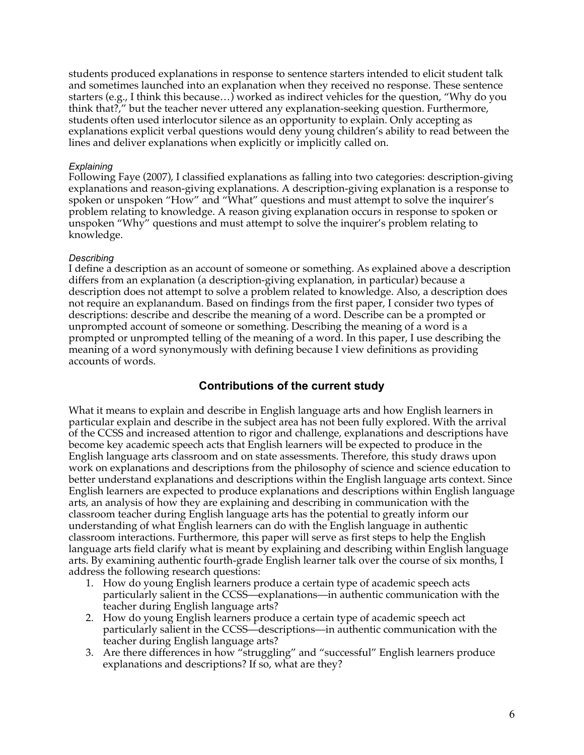students produced explanations in response to sentence starters intended to elicit student talk and sometimes launched into an explanation when they received no response. These sentence starters (e.g., I think this because…) worked as indirect vehicles for the question, "Why do you think that?," but the teacher never uttered any explanation-seeking question. Furthermore, students often used interlocutor silence as an opportunity to explain. Only accepting as explanations explicit verbal questions would deny young children's ability to read between the lines and deliver explanations when explicitly or implicitly called on.

## *Explaining*

Following Faye (2007), I classified explanations as falling into two categories: description-giving explanations and reason-giving explanations. A description-giving explanation is a response to spoken or unspoken "How" and "What" questions and must attempt to solve the inquirer's problem relating to knowledge. A reason giving explanation occurs in response to spoken or unspoken "Why" questions and must attempt to solve the inquirer's problem relating to knowledge.

## *Describing*

I define a description as an account of someone or something. As explained above a description differs from an explanation (a description-giving explanation, in particular) because a description does not attempt to solve a problem related to knowledge. Also, a description does not require an explanandum. Based on findings from the first paper, I consider two types of descriptions: describe and describe the meaning of a word. Describe can be a prompted or unprompted account of someone or something. Describing the meaning of a word is a prompted or unprompted telling of the meaning of a word. In this paper, I use describing the meaning of a word synonymously with defining because I view definitions as providing accounts of words.

## **Contributions of the current study**

What it means to explain and describe in English language arts and how English learners in particular explain and describe in the subject area has not been fully explored. With the arrival of the CCSS and increased attention to rigor and challenge, explanations and descriptions have become key academic speech acts that English learners will be expected to produce in the English language arts classroom and on state assessments. Therefore, this study draws upon work on explanations and descriptions from the philosophy of science and science education to better understand explanations and descriptions within the English language arts context. Since English learners are expected to produce explanations and descriptions within English language arts, an analysis of how they are explaining and describing in communication with the classroom teacher during English language arts has the potential to greatly inform our understanding of what English learners can do with the English language in authentic classroom interactions. Furthermore, this paper will serve as first steps to help the English language arts field clarify what is meant by explaining and describing within English language arts. By examining authentic fourth-grade English learner talk over the course of six months, I address the following research questions:

- 1. How do young English learners produce a certain type of academic speech acts particularly salient in the CCSS—explanations—in authentic communication with the teacher during English language arts?
- 2. How do young English learners produce a certain type of academic speech act particularly salient in the CCSS—descriptions—in authentic communication with the teacher during English language arts?
- 3. Are there differences in how "struggling" and "successful" English learners produce explanations and descriptions? If so, what are they?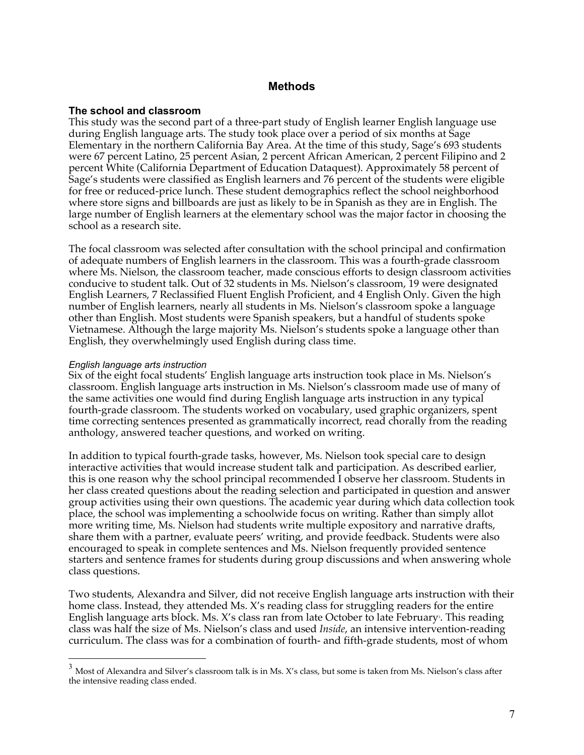## **Methods**

#### **The school and classroom**

This study was the second part of a three-part study of English learner English language use during English language arts. The study took place over a period of six months at Sage Elementary in the northern California Bay Area. At the time of this study, Sage's 693 students were 67 percent Latino, 25 percent Asian, 2 percent African American, 2 percent Filipino and 2 percent White (California Department of Education Dataquest). Approximately 58 percent of Sage's students were classified as English learners and 76 percent of the students were eligible for free or reduced-price lunch. These student demographics reflect the school neighborhood where store signs and billboards are just as likely to be in Spanish as they are in English. The large number of English learners at the elementary school was the major factor in choosing the school as a research site.

The focal classroom was selected after consultation with the school principal and confirmation of adequate numbers of English learners in the classroom. This was a fourth-grade classroom where Ms. Nielson, the classroom teacher, made conscious efforts to design classroom activities conducive to student talk. Out of 32 students in Ms. Nielson's classroom, 19 were designated English Learners, 7 Reclassified Fluent English Proficient, and 4 English Only. Given the high number of English learners, nearly all students in Ms. Nielson's classroom spoke a language other than English. Most students were Spanish speakers, but a handful of students spoke Vietnamese. Although the large majority Ms. Nielson's students spoke a language other than English, they overwhelmingly used English during class time.

#### *English language arts instruction*

Six of the eight focal students' English language arts instruction took place in Ms. Nielson's classroom. English language arts instruction in Ms. Nielson's classroom made use of many of the same activities one would find during English language arts instruction in any typical fourth-grade classroom. The students worked on vocabulary, used graphic organizers, spent time correcting sentences presented as grammatically incorrect, read chorally from the reading anthology, answered teacher questions, and worked on writing.

In addition to typical fourth-grade tasks, however, Ms. Nielson took special care to design interactive activities that would increase student talk and participation. As described earlier, this is one reason why the school principal recommended I observe her classroom. Students in her class created questions about the reading selection and participated in question and answer group activities using their own questions. The academic year during which data collection took place, the school was implementing a schoolwide focus on writing. Rather than simply allot more writing time, Ms. Nielson had students write multiple expository and narrative drafts, share them with a partner, evaluate peers' writing, and provide feedback. Students were also encouraged to speak in complete sentences and Ms. Nielson frequently provided sentence starters and sentence frames for students during group discussions and when answering whole class questions.

Two students, Alexandra and Silver, did not receive English language arts instruction with their home class. Instead, they attended Ms. X's reading class for struggling readers for the entire English language arts block. Ms. X's class ran from late October to late February<sup>,</sup>. This reading class was half the size of Ms. Nielson's class and used *Inside*, an intensive intervention-reading curriculum. The class was for a combination of fourth- and fifth-grade students, most of whom

 $3$  Most of Alexandra and Silver's classroom talk is in Ms. X's class, but some is taken from Ms. Nielson's class after the intensive reading class ended.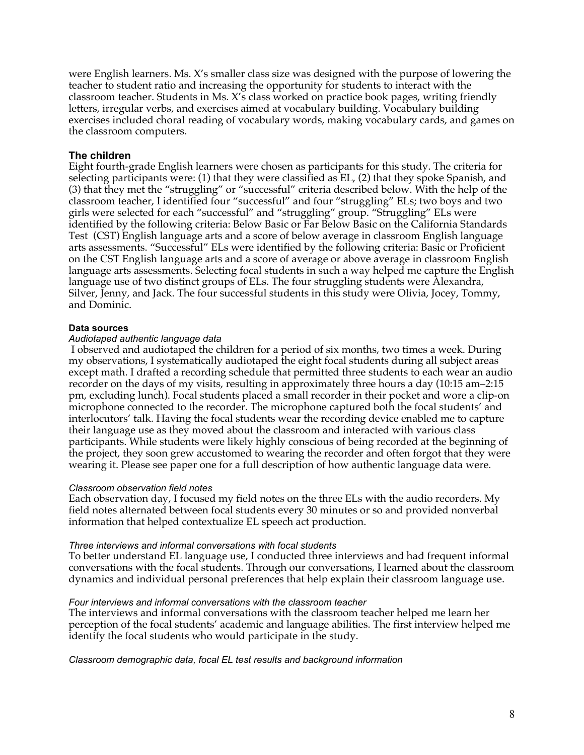were English learners. Ms. X's smaller class size was designed with the purpose of lowering the teacher to student ratio and increasing the opportunity for students to interact with the classroom teacher. Students in Ms. X's class worked on practice book pages, writing friendly letters, irregular verbs, and exercises aimed at vocabulary building. Vocabulary building exercises included choral reading of vocabulary words, making vocabulary cards, and games on the classroom computers.

## **The children**

Eight fourth-grade English learners were chosen as participants for this study. The criteria for selecting participants were: (1) that they were classified as EL, (2) that they spoke Spanish, and (3) that they met the "struggling" or "successful" criteria described below. With the help of the classroom teacher, I identified four "successful" and four "struggling" ELs; two boys and two girls were selected for each "successful" and "struggling" group. "Struggling" ELs were identified by the following criteria: Below Basic or Far Below Basic on the California Standards Test (CST) English language arts and a score of below average in classroom English language arts assessments. "Successful" ELs were identified by the following criteria: Basic or Proficient on the CST English language arts and a score of average or above average in classroom English language arts assessments. Selecting focal students in such a way helped me capture the English language use of two distinct groups of ELs. The four struggling students were Alexandra, Silver, Jenny, and Jack. The four successful students in this study were Olivia, Jocey, Tommy, and Dominic.

## **Data sources**

#### *Audiotaped authentic language data*

I observed and audiotaped the children for a period of six months, two times a week. During my observations, I systematically audiotaped the eight focal students during all subject areas except math. I drafted a recording schedule that permitted three students to each wear an audio recorder on the days of my visits, resulting in approximately three hours a day (10:15 am–2:15 pm, excluding lunch). Focal students placed a small recorder in their pocket and wore a clip-on microphone connected to the recorder. The microphone captured both the focal students' and interlocutors' talk. Having the focal students wear the recording device enabled me to capture their language use as they moved about the classroom and interacted with various class participants. While students were likely highly conscious of being recorded at the beginning of the project, they soon grew accustomed to wearing the recorder and often forgot that they were wearing it. Please see paper one for a full description of how authentic language data were.

## *Classroom observation field notes*

Each observation day, I focused my field notes on the three ELs with the audio recorders. My field notes alternated between focal students every 30 minutes or so and provided nonverbal information that helped contextualize EL speech act production.

#### *Three interviews and informal conversations with focal students*

To better understand EL language use, I conducted three interviews and had frequent informal conversations with the focal students. Through our conversations, I learned about the classroom dynamics and individual personal preferences that help explain their classroom language use.

#### *Four interviews and informal conversations with the classroom teacher*

The interviews and informal conversations with the classroom teacher helped me learn her perception of the focal students' academic and language abilities. The first interview helped me identify the focal students who would participate in the study.

*Classroom demographic data, focal EL test results and background information*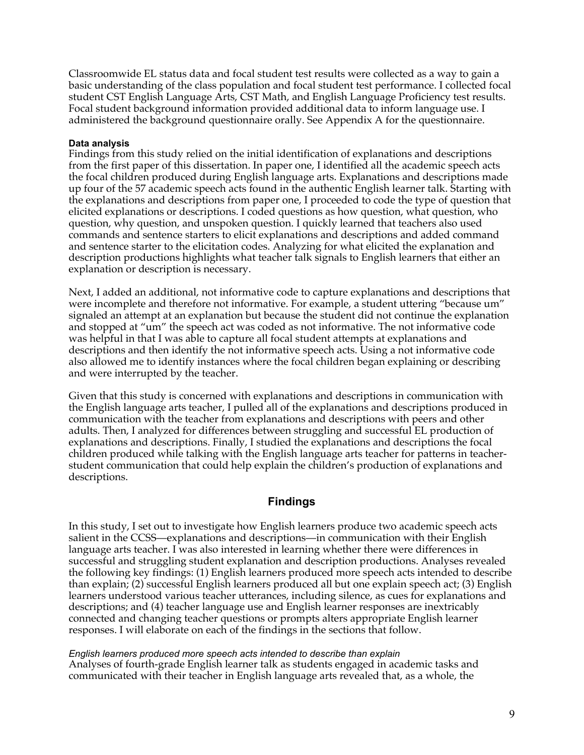Classroomwide EL status data and focal student test results were collected as a way to gain a basic understanding of the class population and focal student test performance. I collected focal student CST English Language Arts, CST Math, and English Language Proficiency test results. Focal student background information provided additional data to inform language use. I administered the background questionnaire orally. See Appendix A for the questionnaire.

## **Data analysis**

Findings from this study relied on the initial identification of explanations and descriptions from the first paper of this dissertation. In paper one, I identified all the academic speech acts the focal children produced during English language arts. Explanations and descriptions made up four of the 57 academic speech acts found in the authentic English learner talk. Starting with the explanations and descriptions from paper one, I proceeded to code the type of question that elicited explanations or descriptions. I coded questions as how question, what question, who question, why question, and unspoken question. I quickly learned that teachers also used commands and sentence starters to elicit explanations and descriptions and added command and sentence starter to the elicitation codes. Analyzing for what elicited the explanation and description productions highlights what teacher talk signals to English learners that either an explanation or description is necessary.

Next, I added an additional, not informative code to capture explanations and descriptions that were incomplete and therefore not informative. For example, a student uttering "because um" signaled an attempt at an explanation but because the student did not continue the explanation and stopped at "um" the speech act was coded as not informative. The not informative code was helpful in that I was able to capture all focal student attempts at explanations and descriptions and then identify the not informative speech acts. Using a not informative code also allowed me to identify instances where the focal children began explaining or describing and were interrupted by the teacher.

Given that this study is concerned with explanations and descriptions in communication with the English language arts teacher, I pulled all of the explanations and descriptions produced in communication with the teacher from explanations and descriptions with peers and other adults. Then, I analyzed for differences between struggling and successful EL production of explanations and descriptions. Finally, I studied the explanations and descriptions the focal children produced while talking with the English language arts teacher for patterns in teacherstudent communication that could help explain the children's production of explanations and descriptions.

## **Findings**

In this study, I set out to investigate how English learners produce two academic speech acts salient in the CCSS—explanations and descriptions—in communication with their English language arts teacher. I was also interested in learning whether there were differences in successful and struggling student explanation and description productions. Analyses revealed the following key findings: (1) English learners produced more speech acts intended to describe than explain; (2) successful English learners produced all but one explain speech act; (3) English learners understood various teacher utterances, including silence, as cues for explanations and descriptions; and (4) teacher language use and English learner responses are inextricably connected and changing teacher questions or prompts alters appropriate English learner responses. I will elaborate on each of the findings in the sections that follow.

#### *English learners produced more speech acts intended to describe than explain*

Analyses of fourth-grade English learner talk as students engaged in academic tasks and communicated with their teacher in English language arts revealed that, as a whole, the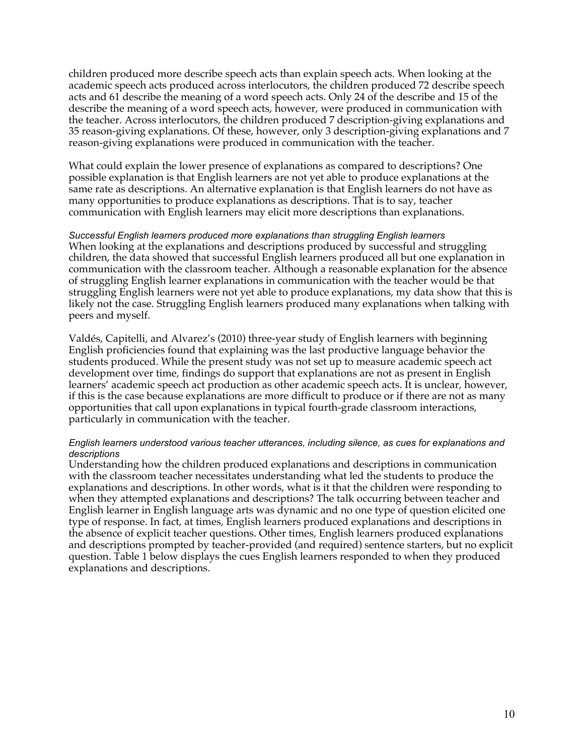children produced more describe speech acts than explain speech acts. When looking at the academic speech acts produced across interlocutors, the children produced 72 describe speech acts and 61 describe the meaning of a word speech acts. Only 24 of the describe and 15 of the describe the meaning of a word speech acts, however, were produced in communication with the teacher. Across interlocutors, the children produced 7 description-giving explanations and 35 reason-giving explanations. Of these, however, only 3 description-giving explanations and 7 reason-giving explanations were produced in communication with the teacher.

What could explain the lower presence of explanations as compared to descriptions? One possible explanation is that English learners are not yet able to produce explanations at the same rate as descriptions. An alternative explanation is that English learners do not have as many opportunities to produce explanations as descriptions. That is to say, teacher communication with English learners may elicit more descriptions than explanations.

*Successful English learners produced more explanations than struggling English learners* When looking at the explanations and descriptions produced by successful and struggling children, the data showed that successful English learners produced all but one explanation in communication with the classroom teacher. Although a reasonable explanation for the absence of struggling English learner explanations in communication with the teacher would be that struggling English learners were not yet able to produce explanations, my data show that this is likely not the case. Struggling English learners produced many explanations when talking with peers and myself.

Valdés, Capitelli, and Alvarez's (2010) three-year study of English learners with beginning English proficiencies found that explaining was the last productive language behavior the students produced. While the present study was not set up to measure academic speech act development over time, findings do support that explanations are not as present in English learners' academic speech act production as other academic speech acts. It is unclear, however, if this is the case because explanations are more difficult to produce or if there are not as many opportunities that call upon explanations in typical fourth-grade classroom interactions, particularly in communication with the teacher.

#### *English learners understood various teacher utterances, including silence, as cues for explanations and descriptions*

Understanding how the children produced explanations and descriptions in communication with the classroom teacher necessitates understanding what led the students to produce the explanations and descriptions. In other words, what is it that the children were responding to when they attempted explanations and descriptions? The talk occurring between teacher and English learner in English language arts was dynamic and no one type of question elicited one type of response. In fact, at times, English learners produced explanations and descriptions in the absence of explicit teacher questions. Other times, English learners produced explanations and descriptions prompted by teacher-provided (and required) sentence starters, but no explicit question. Table 1 below displays the cues English learners responded to when they produced explanations and descriptions.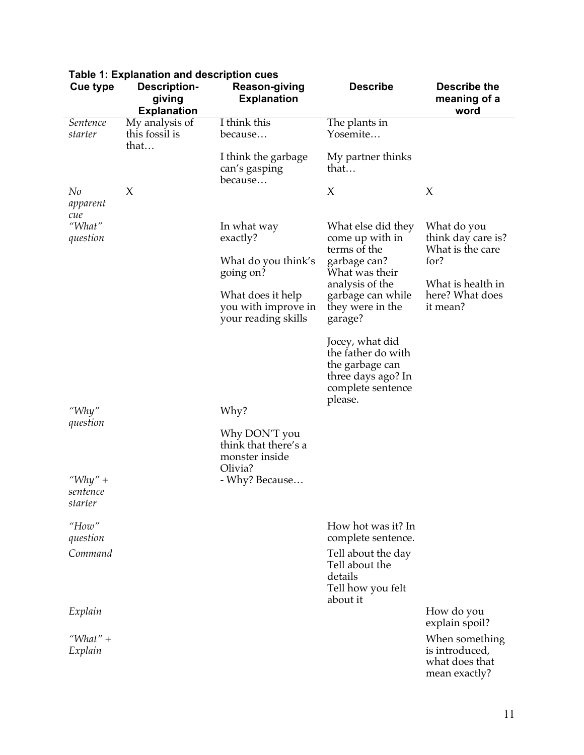| <b>Cue type</b>                | <b>Description-</b><br>giving<br><b>Explanation</b> | <b>Reason-giving</b><br><b>Explanation</b>                         | <b>Describe</b>                                                                                                | <b>Describe the</b><br>meaning of a<br>word                         |
|--------------------------------|-----------------------------------------------------|--------------------------------------------------------------------|----------------------------------------------------------------------------------------------------------------|---------------------------------------------------------------------|
| Sentence<br>starter            | My analysis of<br>this fossil is<br>that            | I think this<br>because                                            | The plants in<br>Yosemite                                                                                      |                                                                     |
|                                |                                                     | I think the garbage<br>can's gasping<br>because                    | My partner thinks<br>that                                                                                      |                                                                     |
| No<br>apparent<br>cue          | X                                                   |                                                                    | X                                                                                                              | X                                                                   |
| "What"<br>question             |                                                     | In what way<br>exactly?                                            | What else did they<br>come up with in<br>terms of the                                                          | What do you<br>think day care is?<br>What is the care               |
|                                |                                                     | What do you think's<br>going on?                                   | garbage can?<br>What was their<br>analysis of the                                                              | for?<br>What is health in                                           |
|                                |                                                     | What does it help<br>you with improve in<br>your reading skills    | garbage can while<br>they were in the<br>garage?                                                               | here? What does<br>it mean?                                         |
|                                |                                                     |                                                                    | Jocey, what did<br>the father do with<br>the garbage can<br>three days ago? In<br>complete sentence<br>please. |                                                                     |
| "Why"<br>question              |                                                     | Why?                                                               |                                                                                                                |                                                                     |
|                                |                                                     | Why DON'T you<br>think that there's a<br>monster inside<br>Olivia? |                                                                                                                |                                                                     |
| "Why" +<br>sentence<br>starter |                                                     | - Why? Because                                                     |                                                                                                                |                                                                     |
| How''<br>question              |                                                     |                                                                    | How hot was it? In<br>complete sentence.                                                                       |                                                                     |
| Command                        |                                                     |                                                                    | Tell about the day<br>Tell about the<br>details<br>Tell how you felt<br>about it                               |                                                                     |
| Explain                        |                                                     |                                                                    |                                                                                                                | How do you<br>explain spoil?                                        |
| "What" +<br>Explain            |                                                     |                                                                    |                                                                                                                | When something<br>is introduced,<br>what does that<br>mean exactly? |

# **Table 1: Explanation and description cues**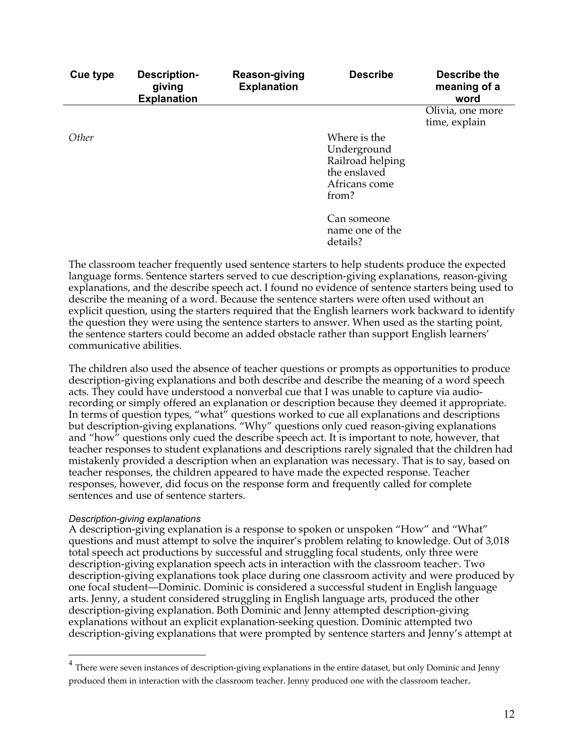| Cue type | <b>Description-</b><br>giving<br><b>Explanation</b> | <b>Reason-giving</b><br><b>Explanation</b> | <b>Describe</b>                                                                           | <b>Describe the</b><br>meaning of a<br>word |
|----------|-----------------------------------------------------|--------------------------------------------|-------------------------------------------------------------------------------------------|---------------------------------------------|
|          |                                                     |                                            |                                                                                           | Olivia, one more<br>time, explain           |
| Other    |                                                     |                                            | Where is the<br>Underground<br>Railroad helping<br>the enslaved<br>Africans come<br>from? |                                             |
|          |                                                     |                                            | Can someone<br>name one of the<br>details?                                                |                                             |

The classroom teacher frequently used sentence starters to help students produce the expected language forms. Sentence starters served to cue description-giving explanations, reason-giving explanations, and the describe speech act. I found no evidence of sentence starters being used to describe the meaning of a word. Because the sentence starters were often used without an explicit question, using the starters required that the English learners work backward to identify the question they were using the sentence starters to answer. When used as the starting point, the sentence starters could become an added obstacle rather than support English learners' communicative abilities.

The children also used the absence of teacher questions or prompts as opportunities to produce description-giving explanations and both describe and describe the meaning of a word speech acts. They could have understood a nonverbal cue that I was unable to capture via audiorecording or simply offered an explanation or description because they deemed it appropriate. In terms of question types, "what" questions worked to cue all explanations and descriptions but description-giving explanations. "Why" questions only cued reason-giving explanations and "how" questions only cued the describe speech act. It is important to note, however, that teacher responses to student explanations and descriptions rarely signaled that the children had mistakenly provided a description when an explanation was necessary. That is to say, based on teacher responses, the children appeared to have made the expected response. Teacher responses, however, did focus on the response form and frequently called for complete sentences and use of sentence starters.

## *Description-giving explanations*

A description-giving explanation is a response to spoken or unspoken "How" and "What" questions and must attempt to solve the inquirer's problem relating to knowledge. Out of 3,018 total speech act productions by successful and struggling focal students, only three were description-giving explanation speech acts in interaction with the classroom teacher<sup>.</sup> Two description-giving explanations took place during one classroom activity and were produced by one focal student—Dominic. Dominic is considered a successful student in English language arts. Jenny, a student considered struggling in English language arts, produced the other description-giving explanation. Both Dominic and Jenny attempted description-giving explanations without an explicit explanation-seeking question. Dominic attempted two description-giving explanations that were prompted by sentence starters and Jenny's attempt at

 $4$  There were seven instances of description-giving explanations in the entire dataset, but only Dominic and Jenny produced them in interaction with the classroom teacher. Jenny produced one with the classroom teacher.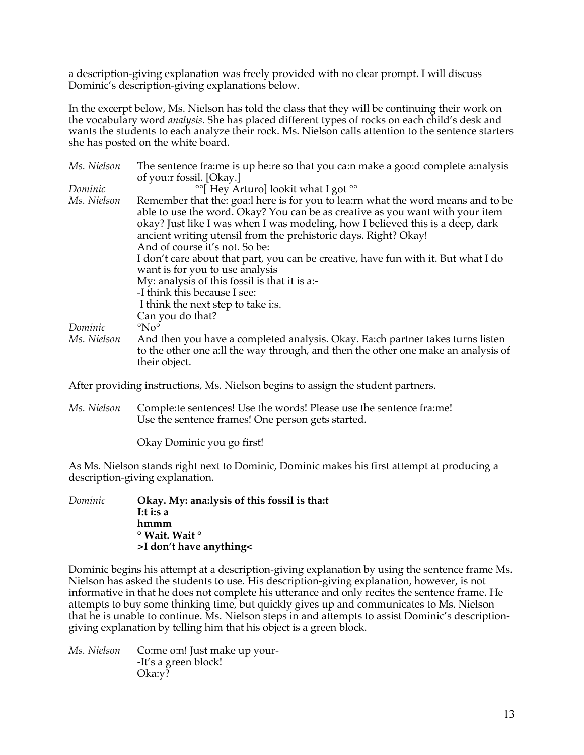a description-giving explanation was freely provided with no clear prompt. I will discuss Dominic's description-giving explanations below.

In the excerpt below, Ms. Nielson has told the class that they will be continuing their work on the vocabulary word *analysis*. She has placed different types of rocks on each child's desk and wants the students to each analyze their rock. Ms. Nielson calls attention to the sentence starters she has posted on the white board.

| The sentence fraime is up heire so that you cain make a gooid complete ainalysis                                                                                                                                                                                                                                         |
|--------------------------------------------------------------------------------------------------------------------------------------------------------------------------------------------------------------------------------------------------------------------------------------------------------------------------|
|                                                                                                                                                                                                                                                                                                                          |
|                                                                                                                                                                                                                                                                                                                          |
| Remember that the: goa: l here is for you to lea: rn what the word means and to be<br>able to use the word. Okay? You can be as creative as you want with your item<br>okay? Just like I was when I was modeling, how I believed this is a deep, dark<br>ancient writing utensil from the prehistoric days. Right? Okay! |
|                                                                                                                                                                                                                                                                                                                          |
| I don't care about that part, you can be creative, have fun with it. But what I do                                                                                                                                                                                                                                       |
|                                                                                                                                                                                                                                                                                                                          |
|                                                                                                                                                                                                                                                                                                                          |
|                                                                                                                                                                                                                                                                                                                          |
|                                                                                                                                                                                                                                                                                                                          |
|                                                                                                                                                                                                                                                                                                                          |
| And then you have a completed analysis. Okay. Ea:ch partner takes turns listen<br>to the other one a:ll the way through, and then the other one make an analysis of                                                                                                                                                      |
|                                                                                                                                                                                                                                                                                                                          |

After providing instructions, Ms. Nielson begins to assign the student partners.

*Ms. Nielson* Comple:te sentences! Use the words! Please use the sentence fra:me! Use the sentence frames! One person gets started.

Okay Dominic you go first!

As Ms. Nielson stands right next to Dominic, Dominic makes his first attempt at producing a description-giving explanation.

*Dominic* **Okay. My: ana:lysis of this fossil is tha:t I:t i:s a hmmm ° Wait. Wait ° >I don't have anything<**

Dominic begins his attempt at a description-giving explanation by using the sentence frame Ms. Nielson has asked the students to use. His description-giving explanation, however, is not informative in that he does not complete his utterance and only recites the sentence frame. He attempts to buy some thinking time, but quickly gives up and communicates to Ms. Nielson that he is unable to continue. Ms. Nielson steps in and attempts to assist Dominic's descriptiongiving explanation by telling him that his object is a green block.

*Ms. Nielson* Co:me o:n! Just make up your- -It's a green block! Oka:y?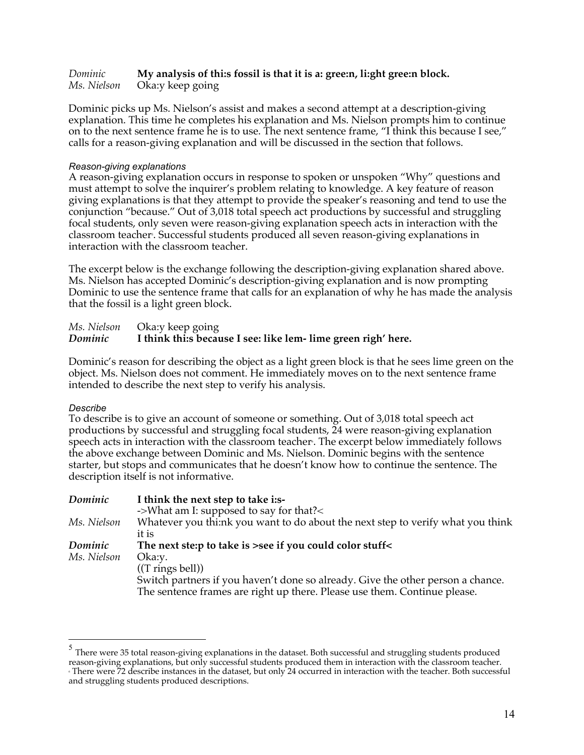## *Dominic* **My analysis of thi:s fossil is that it is a: gree:n, li:ght gree:n block.** *Ms. Nielson* Oka:y keep going

Dominic picks up Ms. Nielson's assist and makes a second attempt at a description-giving explanation. This time he completes his explanation and Ms. Nielson prompts him to continue on to the next sentence frame he is to use. The next sentence frame, "I think this because I see," calls for a reason-giving explanation and will be discussed in the section that follows.

## *Reason-giving explanations*

A reason-giving explanation occurs in response to spoken or unspoken "Why" questions and must attempt to solve the inquirer's problem relating to knowledge. A key feature of reason giving explanations is that they attempt to provide the speaker's reasoning and tend to use the conjunction "because." Out of 3,018 total speech act productions by successful and struggling focal students, only seven were reason-giving explanation speech acts in interaction with the classroom teacher<sup>,</sup> Successful students produced all seven reason-giving explanations in interaction with the classroom teacher.

The excerpt below is the exchange following the description-giving explanation shared above. Ms. Nielson has accepted Dominic's description-giving explanation and is now prompting Dominic to use the sentence frame that calls for an explanation of why he has made the analysis that the fossil is a light green block.

## *Ms. Nielson* Oka:y keep going *Dominic* **I think thi:s because I see: like lem- lime green righ' here.**

Dominic's reason for describing the object as a light green block is that he sees lime green on the object. Ms. Nielson does not comment. He immediately moves on to the next sentence frame intended to describe the next step to verify his analysis.

## *Describe*

To describe is to give an account of someone or something. Out of 3,018 total speech act productions by successful and struggling focal students, 24 were reason-giving explanation speech acts in interaction with the classroom teacher<sup>s</sup>. The excerpt below immediately follows the above exchange between Dominic and Ms. Nielson. Dominic begins with the sentence starter, but stops and communicates that he doesn't know how to continue the sentence. The description itself is not informative.

| Dominic     | I think the next step to take i:s-<br>->What am I: supposed to say for that?<                                                                                                                        |
|-------------|------------------------------------------------------------------------------------------------------------------------------------------------------------------------------------------------------|
| Ms. Nielson | Whatever you think you want to do about the next step to verify what you think<br>it is                                                                                                              |
| Dominic     | The next step to take is >see if you could color stuff<                                                                                                                                              |
| Ms. Nielson | Oka:y.<br>$((T \text{ rings bell}))$<br>Switch partners if you haven't done so already. Give the other person a chance.<br>The sentence frames are right up there. Please use them. Continue please. |

 $<sup>5</sup>$  There were 35 total reason-giving explanations in the dataset. Both successful and struggling students produced</sup> reason-giving explanations, but only successful students produced them in interaction with the classroom teacher. 6 There were 72 describe instances in the dataset, but only 24 occurred in interaction with the teacher. Both successful and struggling students produced descriptions.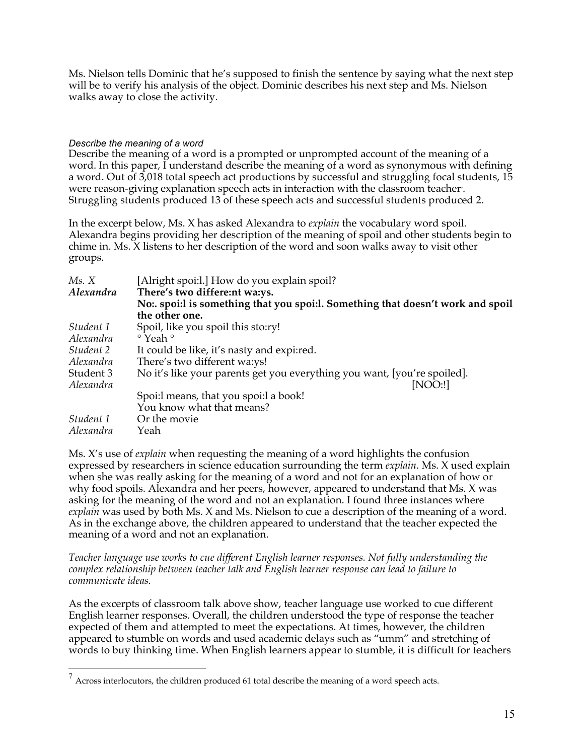Ms. Nielson tells Dominic that he's supposed to finish the sentence by saying what the next step will be to verify his analysis of the object. Dominic describes his next step and Ms. Nielson walks away to close the activity.

## *Describe the meaning of a word*

Describe the meaning of a word is a prompted or unprompted account of the meaning of a word. In this paper, I understand describe the meaning of a word as synonymous with defining a word. Out of 3,018 total speech act productions by successful and struggling focal students, 15 were reason-giving explanation speech acts in interaction with the classroom teacher . Struggling students produced 13 of these speech acts and successful students produced 2.

In the excerpt below, Ms. X has asked Alexandra to *explain* the vocabulary word spoil. Alexandra begins providing her description of the meaning of spoil and other students begin to chime in. Ms. X listens to her description of the word and soon walks away to visit other groups.

| Ms. X<br>Alexandra | [Alright spoi:1.] How do you explain spoil?<br>There's two differe:nt wa:ys.     |
|--------------------|----------------------------------------------------------------------------------|
|                    | No: spoi: I is something that you spoi: I. Something that doesn't work and spoil |
|                    | the other one.                                                                   |
| Student 1          | Spoil, like you spoil this sto:ry!                                               |
| Alexandra          | $\circ$ Yeah $\circ$                                                             |
| Student 2          | It could be like, it's nasty and expired.                                        |
| Alexandra          | There's two different wa:ys!                                                     |
| Student 3          | No it's like your parents get you everything you want, [you're spoiled].         |
| Alexandra          | [NOO:!]                                                                          |
|                    | Spoi:l means, that you spoi:l a book!                                            |
|                    | You know what that means?                                                        |
| Student 1          | Or the movie                                                                     |
| Alexandra          | Yeah                                                                             |

Ms. X's use of *explain* when requesting the meaning of a word highlights the confusion expressed by researchers in science education surrounding the term *explain*. Ms. X used explain when she was really asking for the meaning of a word and not for an explanation of how or why food spoils. Alexandra and her peers, however, appeared to understand that Ms. X was asking for the meaning of the word and not an explanation. I found three instances where *explain* was used by both Ms. X and Ms. Nielson to cue a description of the meaning of a word. As in the exchange above, the children appeared to understand that the teacher expected the meaning of a word and not an explanation.

*Teacher language use works to cue different English learner responses. Not fully understanding the complex relationship between teacher talk and English learner response can lead to failure to communicate ideas.*

As the excerpts of classroom talk above show, teacher language use worked to cue different English learner responses. Overall, the children understood the type of response the teacher expected of them and attempted to meet the expectations. At times, however, the children appeared to stumble on words and used academic delays such as "umm" and stretching of words to buy thinking time. When English learners appear to stumble, it is difficult for teachers

 $7$  Across interlocutors, the children produced 61 total describe the meaning of a word speech acts.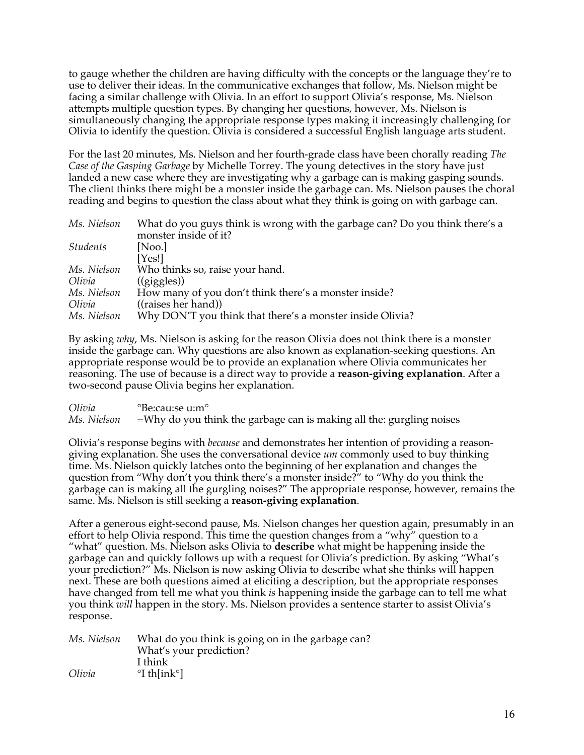to gauge whether the children are having difficulty with the concepts or the language they're to use to deliver their ideas. In the communicative exchanges that follow, Ms. Nielson might be facing a similar challenge with Olivia. In an effort to support Olivia's response, Ms. Nielson attempts multiple question types. By changing her questions, however, Ms. Nielson is simultaneously changing the appropriate response types making it increasingly challenging for Olivia to identify the question. Olivia is considered a successful English language arts student.

For the last 20 minutes, Ms. Nielson and her fourth-grade class have been chorally reading *The Case of the Gasping Garbage* by Michelle Torrey. The young detectives in the story have just landed a new case where they are investigating why a garbage can is making gasping sounds. The client thinks there might be a monster inside the garbage can. Ms. Nielson pauses the choral reading and begins to question the class about what they think is going on with garbage can.

| Ms. Nielson     | What do you guys think is wrong with the garbage can? Do you think there's a |
|-----------------|------------------------------------------------------------------------------|
|                 | monster inside of it?                                                        |
| <i>Students</i> | [Noo.]                                                                       |
|                 | [Yes!]                                                                       |
| Ms. Nielson     | Who thinks so, raise your hand.                                              |
| Olivia          | $((\text{giggles}))$                                                         |
| Ms. Nielson     | How many of you don't think there's a monster inside?                        |
| Olivia          | $((\text{raise } s \text{ her hand}))$                                       |
| Ms. Nielson     | Why DON'T you think that there's a monster inside Olivia?                    |

By asking *why*, Ms. Nielson is asking for the reason Olivia does not think there is a monster inside the garbage can. Why questions are also known as explanation-seeking questions. An appropriate response would be to provide an explanation where Olivia communicates her reasoning. The use of because is a direct way to provide a **reason-giving explanation**. After a two-second pause Olivia begins her explanation.

*Olivia* °Be:cau:se u:m° *Ms. Nielson* =Why do you think the garbage can is making all the: gurgling noises

Olivia's response begins with *because* and demonstrates her intention of providing a reasongiving explanation. She uses the conversational device *um* commonly used to buy thinking time. Ms. Nielson quickly latches onto the beginning of her explanation and changes the question from "Why don't you think there's a monster inside?" to "Why do you think the garbage can is making all the gurgling noises?" The appropriate response, however, remains the same. Ms. Nielson is still seeking a **reason-giving explanation**.

After a generous eight-second pause, Ms. Nielson changes her question again, presumably in an effort to help Olivia respond. This time the question changes from a "why" question to a "what" question. Ms. Nielson asks Olivia to **describe** what might be happening inside the garbage can and quickly follows up with a request for Olivia's prediction. By asking "What's your prediction?" Ms. Nielson is now asking Olivia to describe what she thinks will happen next. These are both questions aimed at eliciting a description, but the appropriate responses have changed from tell me what you think *is* happening inside the garbage can to tell me what you think *will* happen in the story. Ms. Nielson provides a sentence starter to assist Olivia's response.

| Ms. Nielson | What do you think is going on in the garbage can? |
|-------------|---------------------------------------------------|
|             | What's your prediction?                           |
|             | I think                                           |
| Olivia      | $\degree$ I th[ink $\degree$ ]                    |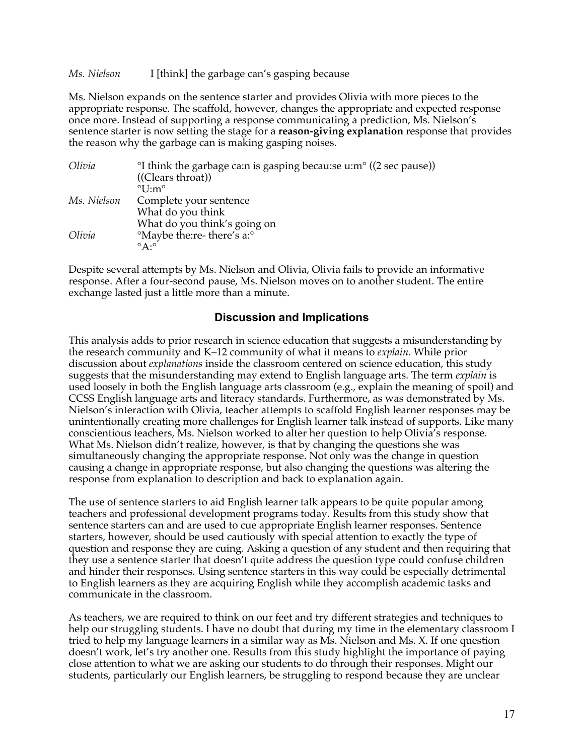*Ms. Nielson* I [think] the garbage can's gasping because

Ms. Nielson expands on the sentence starter and provides Olivia with more pieces to the appropriate response. The scaffold, however, changes the appropriate and expected response once more. Instead of supporting a response communicating a prediction, Ms. Nielson's sentence starter is now setting the stage for a **reason-giving explanation** response that provides the reason why the garbage can is making gasping noises.

| Olivia      | <sup>o</sup> I think the garbage ca:n is gasping becau:se u:m <sup>o</sup> ((2 sec pause)) |
|-------------|--------------------------------------------------------------------------------------------|
|             | $((\text{Clearly,}\theta))$                                                                |
|             | $\degree$ I I:m $\degree$                                                                  |
| Ms. Nielson | Complete your sentence                                                                     |
|             | What do you think                                                                          |
|             | What do you think's going on                                                               |
| Olivia      | <sup>o</sup> Maybe the:re- there's a: <sup>o</sup>                                         |
|             | $\circ$ A: $\circ$                                                                         |

Despite several attempts by Ms. Nielson and Olivia, Olivia fails to provide an informative response. After a four-second pause, Ms. Nielson moves on to another student. The entire exchange lasted just a little more than a minute.

## **Discussion and Implications**

This analysis adds to prior research in science education that suggests a misunderstanding by the research community and K–12 community of what it means to *explain*. While prior discussion about *explanations* inside the classroom centered on science education, this study suggests that the misunderstanding may extend to English language arts. The term *explain* is used loosely in both the English language arts classroom (e.g., explain the meaning of spoil) and CCSS English language arts and literacy standards. Furthermore, as was demonstrated by Ms. Nielson's interaction with Olivia, teacher attempts to scaffold English learner responses may be unintentionally creating more challenges for English learner talk instead of supports. Like many conscientious teachers, Ms. Nielson worked to alter her question to help Olivia's response. What Ms. Nielson didn't realize, however, is that by changing the questions she was simultaneously changing the appropriate response. Not only was the change in question causing a change in appropriate response, but also changing the questions was altering the response from explanation to description and back to explanation again.

The use of sentence starters to aid English learner talk appears to be quite popular among teachers and professional development programs today. Results from this study show that sentence starters can and are used to cue appropriate English learner responses. Sentence starters, however, should be used cautiously with special attention to exactly the type of question and response they are cuing. Asking a question of any student and then requiring that they use a sentence starter that doesn't quite address the question type could confuse children and hinder their responses. Using sentence starters in this way could be especially detrimental to English learners as they are acquiring English while they accomplish academic tasks and communicate in the classroom.

As teachers, we are required to think on our feet and try different strategies and techniques to help our struggling students. I have no doubt that during my time in the elementary classroom I tried to help my language learners in a similar way as Ms. Nielson and Ms. X. If one question doesn't work, let's try another one. Results from this study highlight the importance of paying close attention to what we are asking our students to do through their responses. Might our students, particularly our English learners, be struggling to respond because they are unclear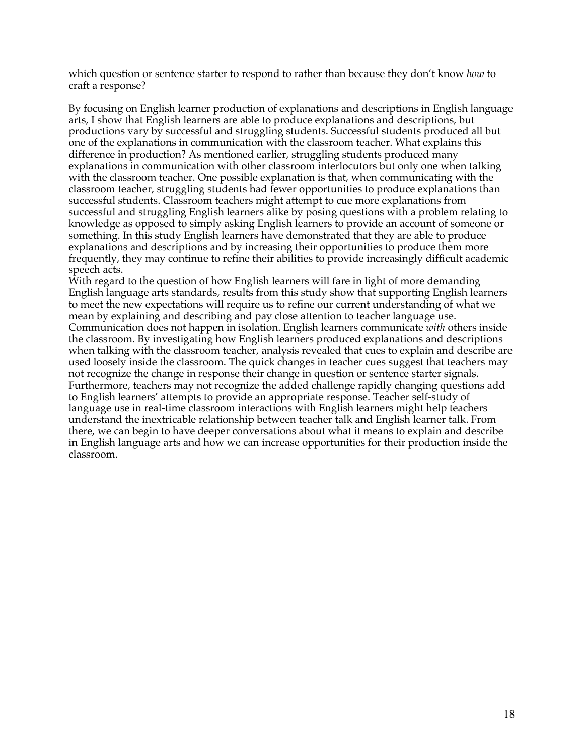which question or sentence starter to respond to rather than because they don't know *how* to craft a response?

By focusing on English learner production of explanations and descriptions in English language arts, I show that English learners are able to produce explanations and descriptions, but productions vary by successful and struggling students. Successful students produced all but one of the explanations in communication with the classroom teacher. What explains this difference in production? As mentioned earlier, struggling students produced many explanations in communication with other classroom interlocutors but only one when talking with the classroom teacher. One possible explanation is that, when communicating with the classroom teacher, struggling students had fewer opportunities to produce explanations than successful students. Classroom teachers might attempt to cue more explanations from successful and struggling English learners alike by posing questions with a problem relating to knowledge as opposed to simply asking English learners to provide an account of someone or something. In this study English learners have demonstrated that they are able to produce explanations and descriptions and by increasing their opportunities to produce them more frequently, they may continue to refine their abilities to provide increasingly difficult academic speech acts.

With regard to the question of how English learners will fare in light of more demanding English language arts standards, results from this study show that supporting English learners to meet the new expectations will require us to refine our current understanding of what we mean by explaining and describing and pay close attention to teacher language use. Communication does not happen in isolation. English learners communicate *with* others inside the classroom. By investigating how English learners produced explanations and descriptions when talking with the classroom teacher, analysis revealed that cues to explain and describe are used loosely inside the classroom. The quick changes in teacher cues suggest that teachers may not recognize the change in response their change in question or sentence starter signals. Furthermore, teachers may not recognize the added challenge rapidly changing questions add to English learners' attempts to provide an appropriate response. Teacher self-study of language use in real-time classroom interactions with English learners might help teachers understand the inextricable relationship between teacher talk and English learner talk. From there, we can begin to have deeper conversations about what it means to explain and describe in English language arts and how we can increase opportunities for their production inside the classroom.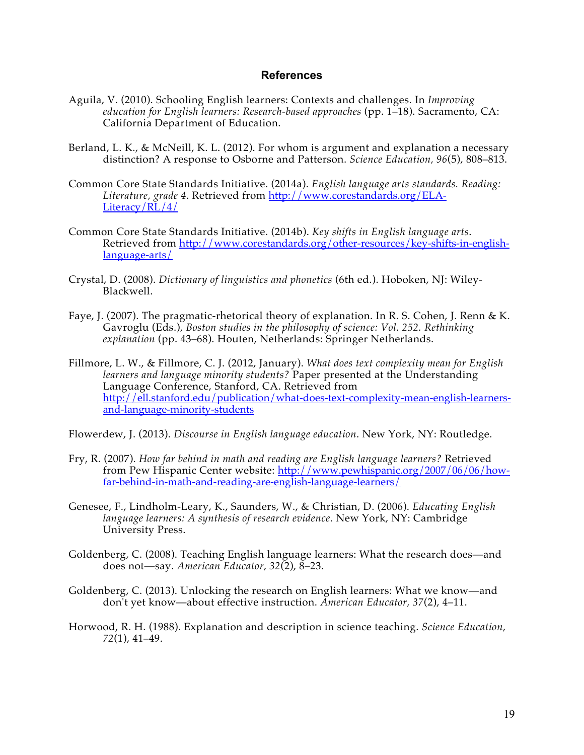## **References**

- Aguila, V. (2010). Schooling English learners: Contexts and challenges. In *Improving education for English learners: Research-based approaches* (pp. 1–18). Sacramento, CA: California Department of Education.
- Berland, L. K., & McNeill, K. L. (2012). For whom is argument and explanation a necessary distinction? A response to Osborne and Patterson. *Science Education, 96*(5), 808–813.
- Common Core State Standards Initiative. (2014a). *English language arts standards. Reading: Literature, grade 4*. Retrieved from http://www.corestandards.org/ELA-Literacy/RL/4/
- Common Core State Standards Initiative. (2014b). *Key shifts in English language arts*. Retrieved from http://www.corestandards.org/other-resources/key-shifts-in-englishlanguage-arts/
- Crystal, D. (2008). *Dictionary of linguistics and phonetics* (6th ed.). Hoboken, NJ: Wiley-Blackwell.
- Faye, J. (2007). The pragmatic-rhetorical theory of explanation. In R. S. Cohen, J. Renn & K. Gavroglu (Eds.), *Boston studies in the philosophy of science: Vol. 252. Rethinking explanation* (pp. 43–68). Houten, Netherlands: Springer Netherlands.
- Fillmore, L. W., & Fillmore, C. J. (2012, January). *What does text complexity mean for English learners and language minority students?* Paper presented at the Understanding Language Conference, Stanford, CA. Retrieved from http://ell.stanford.edu/publication/what-does-text-complexity-mean-english-learnersand-language-minority-students

Flowerdew, J. (2013). *Discourse in English language education*. New York, NY: Routledge.

- Fry, R. (2007). *How far behind in math and reading are English language learners?* Retrieved from Pew Hispanic Center website: http://www.pewhispanic.org/2007/06/06/howfar-behind-in-math-and-reading-are-english-language-learners/
- Genesee, F., Lindholm-Leary, K., Saunders, W., & Christian, D. (2006). *Educating English language learners: A synthesis of research evidence*. New York, NY: Cambridge University Press.
- Goldenberg, C. (2008). Teaching English language learners: What the research does—and does not—say. *American Educator, 32*(2), 8–23.
- Goldenberg, C. (2013). Unlocking the research on English learners: What we know—and don't yet know—about effective instruction. *American Educator, 37*(2), 4–11.
- Horwood, R. H. (1988). Explanation and description in science teaching. *Science Education, 72*(1), 41–49.